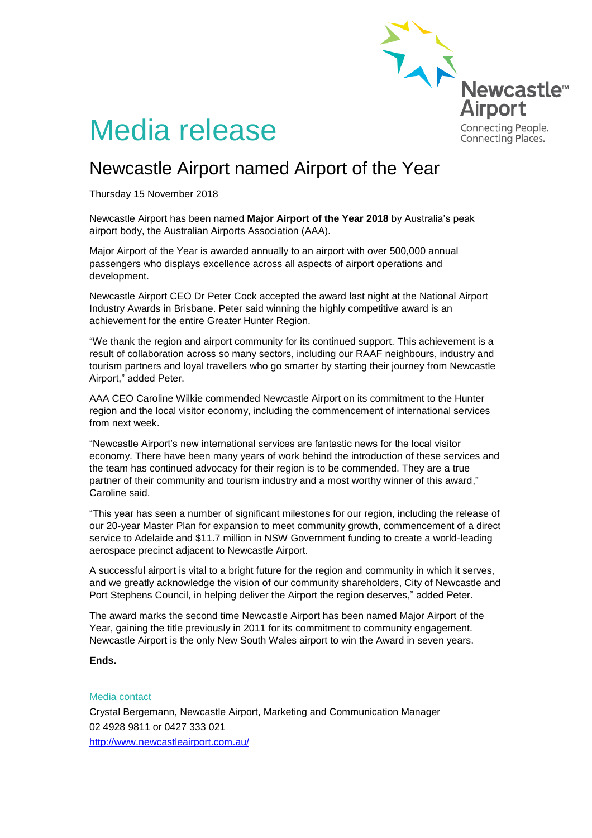

# Media release

# Newcastle Airport named Airport of the Year

Thursday 15 November 2018

Newcastle Airport has been named **Major Airport of the Year 2018** by Australia's peak airport body, the Australian Airports Association (AAA).

Major Airport of the Year is awarded annually to an airport with over 500,000 annual passengers who displays excellence across all aspects of airport operations and development.

Newcastle Airport CEO Dr Peter Cock accepted the award last night at the National Airport Industry Awards in Brisbane. Peter said winning the highly competitive award is an achievement for the entire Greater Hunter Region.

"We thank the region and airport community for its continued support. This achievement is a result of collaboration across so many sectors, including our RAAF neighbours, industry and tourism partners and loyal travellers who go smarter by starting their journey from Newcastle Airport," added Peter.

AAA CEO Caroline Wilkie commended Newcastle Airport on its commitment to the Hunter region and the local visitor economy, including the commencement of international services from next week.

"Newcastle Airport's new international services are fantastic news for the local visitor economy. There have been many years of work behind the introduction of these services and the team has continued advocacy for their region is to be commended. They are a true partner of their community and tourism industry and a most worthy winner of this award," Caroline said.

"This year has seen a number of significant milestones for our region, including the release of our 20-year Master Plan for expansion to meet community growth, commencement of a direct service to Adelaide and \$11.7 million in NSW Government funding to create a world-leading aerospace precinct adjacent to Newcastle Airport.

A successful airport is vital to a bright future for the region and community in which it serves, and we greatly acknowledge the vision of our community shareholders, City of Newcastle and Port Stephens Council, in helping deliver the Airport the region deserves," added Peter.

The award marks the second time Newcastle Airport has been named Major Airport of the Year, gaining the title previously in 2011 for its commitment to community engagement. Newcastle Airport is the only New South Wales airport to win the Award in seven years.

## **Ends.**

### Media contact

Crystal Bergemann, Newcastle Airport, Marketing and Communication Manager 02 4928 9811 or 0427 333 021 <http://www.newcastleairport.com.au/>